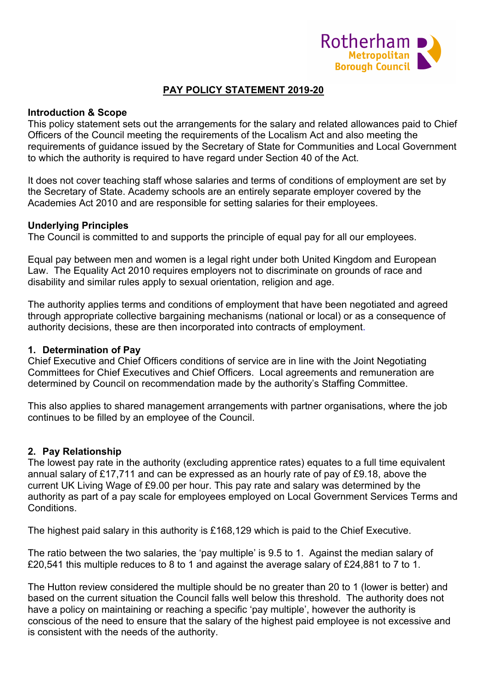

# **PAY POLICY STATEMENT 2019-20**

#### **Introduction & Scope**

This policy statement sets out the arrangements for the salary and related allowances paid to Chief Officers of the Council meeting the requirements of the Localism Act and also meeting the requirements of guidance issued by the Secretary of State for Communities and Local Government to which the authority is required to have regard under Section 40 of the Act.

It does not cover teaching staff whose salaries and terms of conditions of employment are set by the Secretary of State. Academy schools are an entirely separate employer covered by the Academies Act 2010 and are responsible for setting salaries for their employees.

#### **Underlying Principles**

The Council is committed to and supports the principle of equal pay for all our employees.

Equal pay between men and women is a legal right under both United Kingdom and European Law. The Equality Act 2010 requires employers not to discriminate on grounds of race and disability and similar rules apply to sexual orientation, religion and age.

The authority applies terms and conditions of employment that have been negotiated and agreed through appropriate collective bargaining mechanisms (national or local) or as a consequence of authority decisions, these are then incorporated into contracts of employment.

### **1. Determination of Pay**

Chief Executive and Chief Officers conditions of service are in line with the Joint Negotiating Committees for Chief Executives and Chief Officers. Local agreements and remuneration are determined by Council on recommendation made by the authority's Staffing Committee.

This also applies to shared management arrangements with partner organisations, where the job continues to be filled by an employee of the Council.

### **2. Pay Relationship**

The lowest pay rate in the authority (excluding apprentice rates) equates to a full time equivalent annual salary of £17,711 and can be expressed as an hourly rate of pay of £9.18, above the current UK Living Wage of £9.00 per hour. This pay rate and salary was determined by the authority as part of a pay scale for employees employed on Local Government Services Terms and **Conditions** 

The highest paid salary in this authority is £168,129 which is paid to the Chief Executive.

The ratio between the two salaries, the 'pay multiple' is 9.5 to 1. Against the median salary of £20,541 this multiple reduces to 8 to 1 and against the average salary of £24,881 to 7 to 1.

The Hutton review considered the multiple should be no greater than 20 to 1 (lower is better) and based on the current situation the Council falls well below this threshold. The authority does not have a policy on maintaining or reaching a specific 'pay multiple', however the authority is conscious of the need to ensure that the salary of the highest paid employee is not excessive and is consistent with the needs of the authority.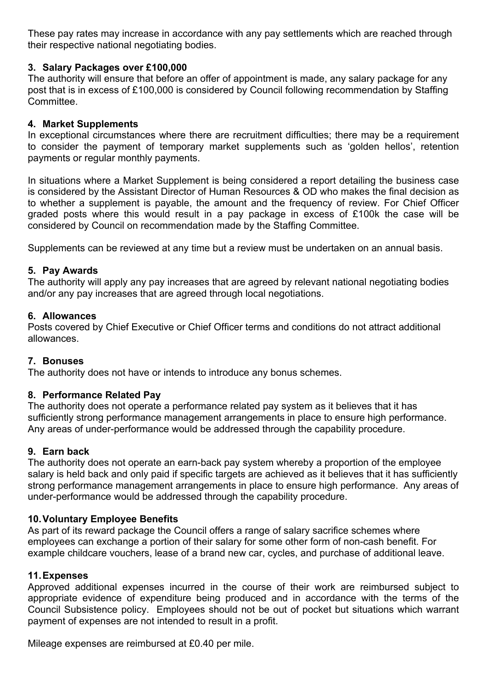These pay rates may increase in accordance with any pay settlements which are reached through their respective national negotiating bodies.

## **3. Salary Packages over £100,000**

The authority will ensure that before an offer of appointment is made, any salary package for any post that is in excess of £100,000 is considered by Council following recommendation by Staffing **Committee.** 

### **4. Market Supplements**

In exceptional circumstances where there are recruitment difficulties; there may be a requirement to consider the payment of temporary market supplements such as 'golden hellos', retention payments or regular monthly payments.

In situations where a Market Supplement is being considered a report detailing the business case is considered by the Assistant Director of Human Resources & OD who makes the final decision as to whether a supplement is payable, the amount and the frequency of review. For Chief Officer graded posts where this would result in a pay package in excess of £100k the case will be considered by Council on recommendation made by the Staffing Committee.

Supplements can be reviewed at any time but a review must be undertaken on an annual basis.

### **5. Pay Awards**

The authority will apply any pay increases that are agreed by relevant national negotiating bodies and/or any pay increases that are agreed through local negotiations.

### **6. Allowances**

Posts covered by Chief Executive or Chief Officer terms and conditions do not attract additional allowances.

### **7. Bonuses**

The authority does not have or intends to introduce any bonus schemes.

### **8. Performance Related Pay**

The authority does not operate a performance related pay system as it believes that it has sufficiently strong performance management arrangements in place to ensure high performance. Any areas of under-performance would be addressed through the capability procedure.

### **9. Earn back**

The authority does not operate an earn-back pay system whereby a proportion of the employee salary is held back and only paid if specific targets are achieved as it believes that it has sufficiently strong performance management arrangements in place to ensure high performance. Any areas of under-performance would be addressed through the capability procedure.

### **10.Voluntary Employee Benefits**

As part of its reward package the Council offers a range of salary sacrifice schemes where employees can exchange a portion of their salary for some other form of non-cash benefit. For example childcare vouchers, lease of a brand new car, cycles, and purchase of additional leave.

### **11.Expenses**

Approved additional expenses incurred in the course of their work are reimbursed subject to appropriate evidence of expenditure being produced and in accordance with the terms of the Council Subsistence policy. Employees should not be out of pocket but situations which warrant payment of expenses are not intended to result in a profit.

Mileage expenses are reimbursed at £0.40 per mile.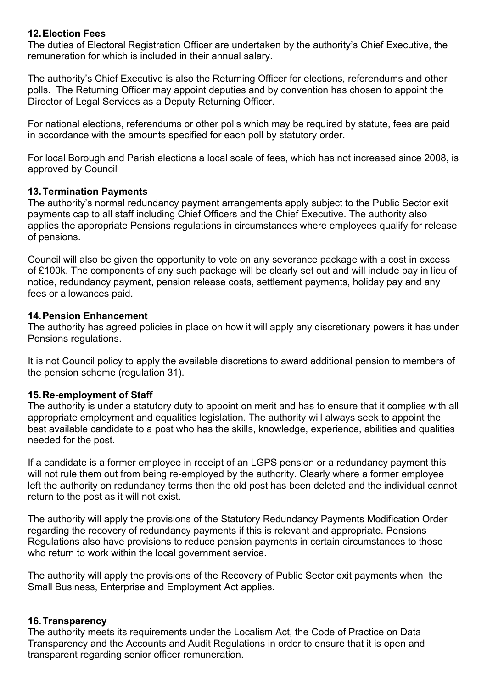### **12.Election Fees**

The duties of Electoral Registration Officer are undertaken by the authority's Chief Executive, the remuneration for which is included in their annual salary.

The authority's Chief Executive is also the Returning Officer for elections, referendums and other polls. The Returning Officer may appoint deputies and by convention has chosen to appoint the Director of Legal Services as a Deputy Returning Officer.

For national elections, referendums or other polls which may be required by statute, fees are paid in accordance with the amounts specified for each poll by statutory order.

For local Borough and Parish elections a local scale of fees, which has not increased since 2008, is approved by Council

### **13.Termination Payments**

The authority's normal redundancy payment arrangements apply subject to the Public Sector exit payments cap to all staff including Chief Officers and the Chief Executive. The authority also applies the appropriate Pensions regulations in circumstances where employees qualify for release of pensions.

Council will also be given the opportunity to vote on any severance package with a cost in excess of £100k. The components of any such package will be clearly set out and will include pay in lieu of notice, redundancy payment, pension release costs, settlement payments, holiday pay and any fees or allowances paid.

### **14.Pension Enhancement**

The authority has agreed policies in place on how it will apply any discretionary powers it has under Pensions regulations.

It is not Council policy to apply the available discretions to award additional pension to members of the pension scheme (regulation 31).

# **15.Re-employment of Staff**

The authority is under a statutory duty to appoint on merit and has to ensure that it complies with all appropriate employment and equalities legislation. The authority will always seek to appoint the best available candidate to a post who has the skills, knowledge, experience, abilities and qualities needed for the post.

If a candidate is a former employee in receipt of an LGPS pension or a redundancy payment this will not rule them out from being re-employed by the authority. Clearly where a former employee left the authority on redundancy terms then the old post has been deleted and the individual cannot return to the post as it will not exist.

The authority will apply the provisions of the Statutory Redundancy Payments Modification Order regarding the recovery of redundancy payments if this is relevant and appropriate. Pensions Regulations also have provisions to reduce pension payments in certain circumstances to those who return to work within the local government service.

The authority will apply the provisions of the Recovery of Public Sector exit payments when the Small Business, Enterprise and Employment Act applies.

### **16.Transparency**

The authority meets its requirements under the Localism Act, the Code of Practice on Data Transparency and the Accounts and Audit Regulations in order to ensure that it is open and transparent regarding senior officer remuneration.